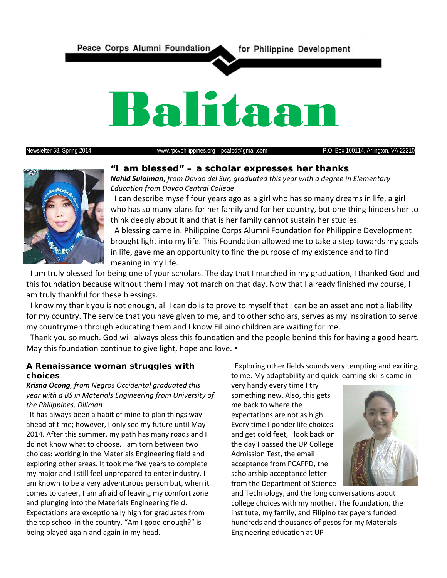

Newsletter 58, Spring 2014 [www.rpcvphilippines.org](http://www.rpcvphilippines.org/) pcafpd@gmail.com P.O. Box 100114, Arlington, VA 22210



**"I am blessed" – a scholar expresses her thanks** 

*Nahid Sulaiman***,** *from Davao del Sur, graduated this year with a degree in Elementary Education from Davao Central College*

 I can describe myself four years ago as a girl who has so many dreams in life, a girl who has so many plans for her family and for her country, but one thing hinders her to think deeply about it and that is her family cannot sustain her studies.

 A blessing came in. Philippine Corps Alumni Foundation for Philippine Development brought light into my life. This Foundation allowed me to take a step towards my goals in life, gave me an opportunity to find the purpose of my existence and to find meaning in my life.

 I am truly blessed for being one of your scholars. The day that I marched in my graduation, I thanked God and this foundation because without them I may not march on that day. Now that I already finished my course, I am truly thankful for these blessings.

 I know my thank you is not enough, all I can do is to prove to myself that I can be an asset and not a liability for my country. The service that you have given to me, and to other scholars, serves as my inspiration to serve my countrymen through educating them and I know Filipino children are waiting for me.

 Thank you so much. God will always bless this foundation and the people behind this for having a good heart. May this foundation continue to give light, hope and love. •

### **A Renaissance woman struggles with choices**

*Krisna Ocong, from Negros Occidental graduated this year with a BS in Materials Engineering from University of the Philippines, Diliman*

 It has always been a habit of mine to plan things way ahead of time; however, I only see my future until May 2014. After this summer, my path has many roads and I do not know what to choose. I am torn between two choices: working in the Materials Engineering field and exploring other areas. It took me five years to complete my major and I still feel unprepared to enter industry. I am known to be a very adventurous person but, when it comes to career, I am afraid of leaving my comfort zone and plunging into the Materials Engineering field. Expectations are exceptionally high for graduates from the top school in the country. "Am I good enough?" is being played again and again in my head.

 Exploring other fields sounds very tempting and exciting to me. My adaptability and quick learning skills come in

very handy every time I try something new. Also, this gets me back to where the expectations are not as high. Every time I ponder life choices and get cold feet, I look back on the day I passed the UP College Admission Test, the email acceptance from PCAFPD, the scholarship acceptance letter from the Department of Science



and Technology, and the long conversations about college choices with my mother. The foundation, the institute, my family, and Filipino tax payers funded hundreds and thousands of pesos for my Materials Engineering education at UP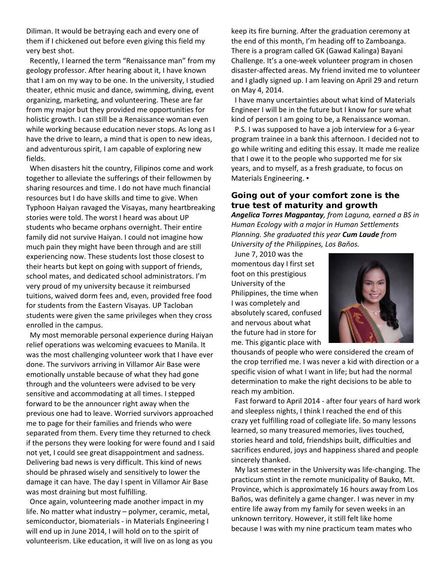Diliman. It would be betraying each and every one of them if I chickened out before even giving this field my very best shot.

 Recently, I learned the term "Renaissance man" from my geology professor. After hearing about it, I have known that I am on my way to be one. In the university, I studied theater, ethnic music and dance, swimming, diving, event organizing, marketing, and volunteering. These are far from my major but they provided me opportunities for holistic growth. I can still be a Renaissance woman even while working because education never stops. As long as I have the drive to learn, a mind that is open to new ideas, and adventurous spirit, I am capable of exploring new fields.

 When disasters hit the country, Filipinos come and work together to alleviate the sufferings of their fellowmen by sharing resources and time. I do not have much financial resources but I do have skills and time to give. When Typhoon Haiyan ravaged the Visayas, many heartbreaking stories were told. The worst I heard was about UP students who became orphans overnight. Their entire family did not survive Haiyan. I could not imagine how much pain they might have been through and are still experiencing now. These students lost those closest to their hearts but kept on going with support of friends, school mates, and dedicated school administrators. I'm very proud of my university because it reimbursed tuitions, waived dorm fees and, even, provided free food for students from the Eastern Visayas. UP Tacloban students were given the same privileges when they cross enrolled in the campus.

 My most memorable personal experience during Haiyan relief operations was welcoming evacuees to Manila. It was the most challenging volunteer work that I have ever done. The survivors arriving in Villamor Air Base were emotionally unstable because of what they had gone through and the volunteers were advised to be very sensitive and accommodating at all times. I stepped forward to be the announcer right away when the previous one had to leave. Worried survivors approached me to page for their families and friends who were separated from them. Every time they returned to check if the persons they were looking for were found and I said not yet, I could see great disappointment and sadness. Delivering bad news is very difficult. This kind of news should be phrased wisely and sensitively to lower the damage it can have. The day I spent in Villamor Air Base was most draining but most fulfilling.

 Once again, volunteering made another impact in my life. No matter what industry – polymer, ceramic, metal, semiconductor, biomaterials - in Materials Engineering I will end up in June 2014, I will hold on to the spirit of volunteerism. Like education, it will live on as long as you keep its fire burning. After the graduation ceremony at the end of this month, I'm heading off to Zamboanga. There is a program called GK (Gawad Kalinga) Bayani Challenge. It's a one-week volunteer program in chosen disaster-affected areas. My friend invited me to volunteer and I gladly signed up. I am leaving on April 29 and return on May 4, 2014.

 I have many uncertainties about what kind of Materials Engineer I will be in the future but I know for sure what kind of person I am going to be, a Renaissance woman.

 P.S. I was supposed to have a job interview for a 6-year program trainee in a bank this afternoon. I decided not to go while writing and editing this essay. It made me realize that I owe it to the people who supported me for six years, and to myself, as a fresh graduate, to focus on Materials Engineering. •

### **Going out of your comfort zone is the true test of maturity and growth**

*Angelica Torres Magpantay, from Laguna, earned a BS in Human Ecology with a major in Human Settlements Planning. She graduated this year Cum Laude from University of the Philippines, Los Baňos.* 

 June 7, 2010 was the momentous day I first set foot on this prestigious University of the Philippines, the time when I was completely and absolutely scared, confused and nervous about what the future had in store for me. This gigantic place with



thousands of people who were considered the cream of the crop terrified me. I was never a kid with direction or a specific vision of what I want in life; but had the normal determination to make the right decisions to be able to reach my ambition.

 Fast forward to April 2014 - after four years of hard work and sleepless nights, I think I reached the end of this crazy yet fulfilling road of collegiate life. So many lessons learned, so many treasured memories, lives touched, stories heard and told, friendships built, difficulties and sacrifices endured, joys and happiness shared and people sincerely thanked.

 My last semester in the University was life-changing. The practicum stint in the remote municipality of Bauko, Mt. Province, which is approximately 16 hours away from Los Baños, was definitely a game changer. I was never in my entire life away from my family for seven weeks in an unknown territory. However, it still felt like home because I was with my nine practicum team mates who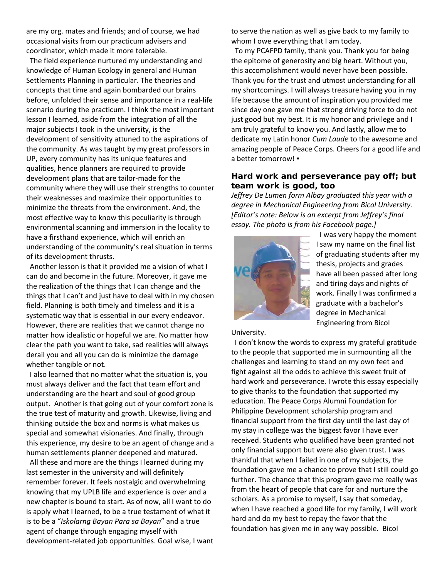are my org. mates and friends; and of course, we had occasional visits from our practicum advisers and coordinator, which made it more tolerable.

 The field experience nurtured my understanding and knowledge of Human Ecology in general and Human Settlements Planning in particular. The theories and concepts that time and again bombarded our brains before, unfolded their sense and importance in a real-life scenario during the practicum. I think the most important lesson I learned, aside from the integration of all the major subjects I took in the university, is the development of sensitivity attuned to the aspirations of the community. As was taught by my great professors in UP, every community has its unique features and qualities, hence planners are required to provide development plans that are tailor-made for the community where they will use their strengths to counter their weaknesses and maximize their opportunities to minimize the threats from the environment. And, the most effective way to know this peculiarity is through environmental scanning and immersion in the locality to have a firsthand experience, which will enrich an understanding of the community's real situation in terms of its development thrusts.

 Another lesson is that it provided me a vision of what I can do and become in the future. Moreover, it gave me the realization of the things that I can change and the things that I can't and just have to deal with in my chosen field. Planning is both timely and timeless and it is a systematic way that is essential in our every endeavor. However, there are realities that we cannot change no matter how idealistic or hopeful we are. No matter how clear the path you want to take, sad realities will always derail you and all you can do is minimize the damage whether tangible or not.

 I also learned that no matter what the situation is, you must always deliver and the fact that team effort and understanding are the heart and soul of good group output. Another is that going out of your comfort zone is the true test of maturity and growth. Likewise, living and thinking outside the box and norms is what makes us special and somewhat visionaries. And finally, through this experience, my desire to be an agent of change and a human settlements planner deepened and matured.

 All these and more are the things I learned during my last semester in the university and will definitely remember forever. It feels nostalgic and overwhelming knowing that my UPLB life and experience is over and a new chapter is bound to start. As of now, all I want to do is apply what I learned, to be a true testament of what it is to be a "*Iskolarng Bayan Para sa Bayan*" and a true agent of change through engaging myself with development-related job opportunities. Goal wise, I want to serve the nation as well as give back to my family to whom I owe everything that I am today.

 To my PCAFPD family, thank you. Thank you for being the epitome of generosity and big heart. Without you, this accomplishment would never have been possible. Thank you for the trust and utmost understanding for all my shortcomings. I will always treasure having you in my life because the amount of inspiration you provided me since day one gave me that strong driving force to do not just good but my best. It is my honor and privilege and I am truly grateful to know you. And lastly, allow me to dedicate my Latin honor *Cum Laude* to the awesome and amazing people of Peace Corps. Cheers for a good life and a better tomorrow! ▪

### **Hard work and perseverance pay off; but team work is good, too**

*Jeffrey De Lumen form Albay graduated this year with a degree in Mechanical Engineering from Bicol University. [Editor's note: Below is an excerpt from Jeffrey's final essay. The photo is from his Facebook page.]*



 I was very happy the moment I saw my name on the final list of graduating students after my thesis, projects and grades have all been passed after long and tiring days and nights of work. Finally I was confirmed a graduate with a bachelor's degree in Mechanical Engineering from Bicol

University.

 I don't know the words to express my grateful gratitude to the people that supported me in surmounting all the challenges and learning to stand on my own feet and fight against all the odds to achieve this sweet fruit of hard work and perseverance. I wrote this essay especially to give thanks to the foundation that supported my education. The Peace Corps Alumni Foundation for Philippine Development scholarship program and financial support from the first day until the last day of my stay in college was the biggest favor I have ever received. Students who qualified have been granted not only financial support but were also given trust. I was thankful that when I failed in one of my subjects, the foundation gave me a chance to prove that I still could go further. The chance that this program gave me really was from the heart of people that care for and nurture the scholars. As a promise to myself, I say that someday, when I have reached a good life for my family, I will work hard and do my best to repay the favor that the foundation has given me in any way possible. Bicol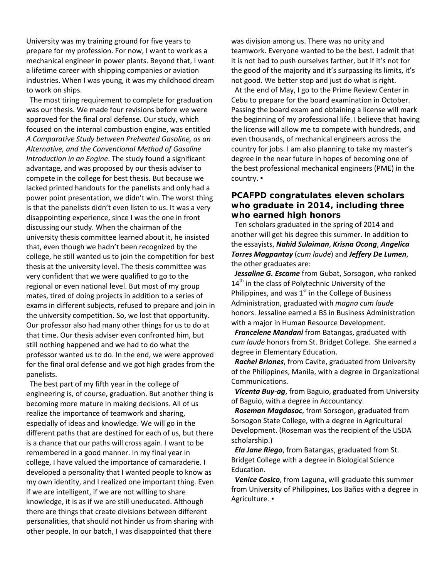University was my training ground for five years to prepare for my profession. For now, I want to work as a mechanical engineer in power plants. Beyond that, I want a lifetime career with shipping companies or aviation industries. When I was young, it was my childhood dream to work on ships.

 The most tiring requirement to complete for graduation was our thesis. We made four revisions before we were approved for the final oral defense. Our study, which focused on the internal combustion engine, was entitled *A Comparative Study between Preheated Gasoline, as an Alternative, and the Conventional Method of Gasoline Introduction in an Engine*. The study found a significant advantage, and was proposed by our thesis adviser to compete in the college for best thesis. But because we lacked printed handouts for the panelists and only had a power point presentation, we didn't win. The worst thing is that the panelists didn't even listen to us. It was a very disappointing experience, since I was the one in front discussing our study. When the chairman of the university thesis committee learned about it, he insisted that, even though we hadn't been recognized by the college, he still wanted us to join the competition for best thesis at the university level. The thesis committee was very confident that we were qualified to go to the regional or even national level. But most of my group mates, tired of doing projects in addition to a series of exams in different subjects, refused to prepare and join in the university competition. So, we lost that opportunity. Our professor also had many other things for us to do at that time. Our thesis adviser even confronted him, but still nothing happened and we had to do what the professor wanted us to do. In the end, we were approved for the final oral defense and we got high grades from the panelists.

 The best part of my fifth year in the college of engineering is, of course, graduation. But another thing is becoming more mature in making decisions. All of us realize the importance of teamwork and sharing, especially of ideas and knowledge. We will go in the different paths that are destined for each of us, but there is a chance that our paths will cross again. I want to be remembered in a good manner. In my final year in college, I have valued the importance of camaraderie. I developed a personality that I wanted people to know as my own identity, and I realized one important thing. Even if we are intelligent, if we are not willing to share knowledge, it is as if we are still uneducated. Although there are things that create divisions between different personalities, that should not hinder us from sharing with other people. In our batch, I was disappointed that there

was division among us. There was no unity and teamwork. Everyone wanted to be the best. I admit that it is not bad to push ourselves farther, but if it's not for the good of the majority and it's surpassing its limits, it's not good. We better stop and just do what is right. At the end of May, I go to the Prime Review Center in Cebu to prepare for the board examination in October. Passing the board exam and obtaining a license will mark the beginning of my professional life. I believe that having the license will allow me to compete with hundreds, and even thousands, of mechanical engineers across the country for jobs. I am also planning to take my master's degree in the near future in hopes of becoming one of the best professional mechanical engineers (PME) in the country. ▪

### **PCAFPD congratulates eleven scholars who graduate in 2014, including three who earned high honors**

 Ten scholars graduated in the spring of 2014 and another will get his degree this summer. In addition to the essayists, *Nahid Sulaiman*, *Krisna Ocong*, *Angelica Torres Magpantay* (*cum laude*) and *Jeffery De Lumen*, the other graduates are:

 *Jessaline G. Escame* from Gubat, Sorsogon, who ranked  $14<sup>th</sup>$  in the class of Polytechnic University of the Philippines, and was  $1<sup>st</sup>$  in the College of Business Administration, graduated with *magna cum laude* honors. Jessaline earned a BS in Business Administration with a major in Human Resource Development.

 *Francelene Mandani* from Batangas, graduated with *cum laude* honors from St. Bridget College. She earned a degree in Elementary Education.

*Rachel Briones*, from Cavite, graduated from University of the Philippines, Manila, with a degree in Organizational Communications.

*Vicenta Buy-ag*, from Baguio, graduated from University of Baguio, with a degree in Accountancy.

*Roseman Magdasoc*, from Sorsogon, graduated from Sorsogon State College, with a degree in Agricultural Development. (Roseman was the recipient of the USDA scholarship.)

*Ela Jane Riego*, from Batangas, graduated from St. Bridget College with a degree in Biological Science Education.

*Venice Cosico*, from Laguna, will graduate this summer from University of Philippines, Los Baños with a degree in Agriculture. ▪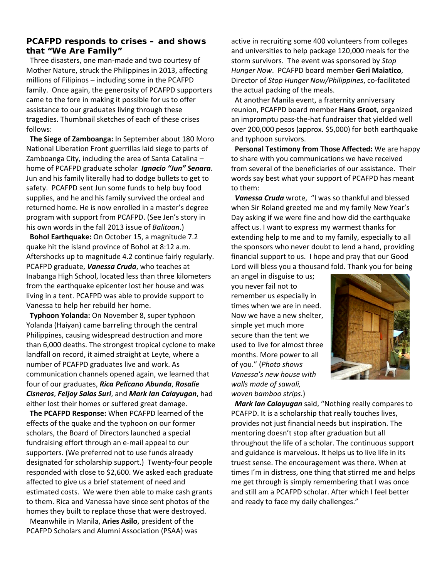#### **PCAFPD responds to crises – and shows that "We Are Family"**

Three disasters, one man-made and two courtesy of Mother Nature, struck the Philippines in 2013, affecting millions of Filipinos – including some in the PCAFPD family. Once again, the generosity of PCAFPD supporters came to the fore in making it possible for us to offer assistance to our graduates living through these tragedies. Thumbnail sketches of each of these crises follows:

 **The Siege of Zamboanga:** In September about 180 Moro National Liberation Front guerrillas laid siege to parts of Zamboanga City, including the area of Santa Catalina – home of PCAFPD graduate scholar *Ignacio "Jun" Senara*. Jun and his family literally had to dodge bullets to get to safety. PCAFPD sent Jun some funds to help buy food supplies, and he and his family survived the ordeal and returned home. He is now enrolled in a master's degree program with support from PCAFPD. (See Jen's story in his own words in the fall 2013 issue of *Balitaan*.)

 **Bohol Earthquake:** On October 15, a magnitude 7.2 quake hit the island province of Bohol at 8:12 a.m. Aftershocks up to magnitude 4.2 continue fairly regularly. PCAFPD graduate, *Vanessa Cruda*, who teaches at Inabanga High School, located less than three kilometers from the earthquake epicenter lost her house and was living in a tent. PCAFPD was able to provide support to Vanessa to help her rebuild her home.

 **Typhoon Yolanda:** On November 8, super typhoon Yolanda (Haiyan) came barreling through the central Philippines, causing widespread destruction and more than 6,000 deaths. The strongest tropical cyclone to make landfall on record, it aimed straight at Leyte, where a number of PCAFPD graduates live and work. As communication channels opened again, we learned that four of our graduates, *Rica Pelicano Abunda*, *Rosalie Cisneros*, *Feljoy Salas Suri*, and *Mark Ian Calayugan*, had either lost their homes or suffered great damage.

 **The PCAFPD Response:** When PCAFPD learned of the effects of the quake and the typhoon on our former scholars, the Board of Directors launched a special fundraising effort through an e-mail appeal to our supporters. (We preferred not to use funds already designated for scholarship support.) Twenty-four people responded with close to \$2,600. We asked each graduate affected to give us a brief statement of need and estimated costs. We were then able to make cash grants to them. Rica and Vanessa have since sent photos of the homes they built to replace those that were destroyed.

 Meanwhile in Manila, **Aries Asilo**, president of the PCAFPD Scholars and Alumni Association (PSAA) was active in recruiting some 400 volunteers from colleges and universities to help package 120,000 meals for the storm survivors. The event was sponsored by *Stop Hunger Now*. PCAFPD board member **Geri Maiatico**, Director of *Stop Hunger Now/Philippines*, co-facilitated the actual packing of the meals.

 At another Manila event, a fraternity anniversary reunion, PCAFPD board member **Hans Groot**, organized an impromptu pass-the-hat fundraiser that yielded well over 200,000 pesos (approx. \$5,000) for both earthquake and typhoon survivors.

 **Personal Testimony from Those Affected:** We are happy to share with you communications we have received from several of the beneficiaries of our assistance. Their words say best what your support of PCAFPD has meant to them:

 *Vanessa Cruda* wrote, "I was so thankful and blessed when Sir Roland greeted me and my family New Year's Day asking if we were fine and how did the earthquake affect us. I want to express my warmest thanks for extending help to me and to my family, especially to all the sponsors who never doubt to lend a hand, providing financial support to us. I hope and pray that our Good Lord will bless you a thousand fold. Thank you for being

an angel in disguise to us; you never fail not to remember us especially in

times when we are in need. Now we have a new shelter, simple yet much more secure than the tent we used to live for almost three months. More power to all of you." (*Photo shows Vanessa's new house with walls made of sawali, woven bamboo strips.*)



 *Mark Ian Calayugan* said, "Nothing really compares to PCAFPD. It is a scholarship that really touches lives, provides not just financial needs but inspiration. The mentoring doesn't stop after graduation but all throughout the life of a scholar. The continuous support and guidance is marvelous. It helps us to live life in its truest sense. The encouragement was there. When at times I'm in distress, one thing that stirred me and helps me get through is simply remembering that I was once and still am a PCAFPD scholar. After which I feel better and ready to face my daily challenges."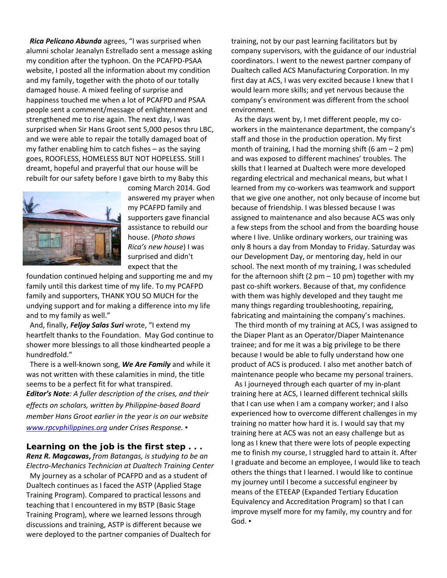*Rica Pelicano Abunda* agrees, "I was surprised when alumni scholar Jeanalyn Estrellado sent a message asking my condition after the typhoon. On the PCAFPD-PSAA website, I posted all the information about my condition and my family, together with the photo of our totally damaged house. A mixed feeling of surprise and happiness touched me when a lot of PCAFPD and PSAA people sent a comment/message of enlightenment and strengthened me to rise again. The next day, I was surprised when Sir Hans Groot sent 5,000 pesos thru LBC, and we were able to repair the totally damaged boat of my father enabling him to catch fishes – as the saying goes, ROOFLESS, HOMELESS BUT NOT HOPELESS. Still I dreamt, hopeful and prayerful that our house will be rebuilt for our safety before I gave birth to my Baby this



coming March 2014. God answered my prayer when my PCAFPD family and supporters gave financial assistance to rebuild our house. (*Photo shows Rica's new house*) I was surprised and didn't expect that the

foundation continued helping and supporting me and my family until this darkest time of my life. To my PCAFPD family and supporters, THANK YOU SO MUCH for the undying support and for making a difference into my life and to my family as well."

And, finally, *Feljoy Salas Suri* wrote, "I extend my heartfelt thanks to the Foundation. May God continue to shower more blessings to all those kindhearted people a hundredfold."

 There is a well-known song, *We Are Family* and while it was not written with these calamities in mind, the title seems to be a perfect fit for what transpired. *Editor's Note: A fuller description of the crises, and their effects on scholars, written by Philippine-based Board member Hans Groot earlier in the year is on our website [www.rpcvphilippines.org](http://www.rpcvphilippines.org/) under Crises Response. ▪*

**Learning on the job is the first step . . .**

*Renz R. Magcawas***,** *from Batangas, is studying to be an Electro-Mechanics Technician at Dualtech Training Center* My journey as a scholar of PCAFPD and as a student of Dualtech continues as I faced the ASTP (Applied Stage Training Program). Compared to practical lessons and teaching that I encountered in my BSTP (Basic Stage Training Program), where we learned lessons through discussions and training, ASTP is different because we were deployed to the partner companies of Dualtech for

training, not by our past learning facilitators but by company supervisors, with the guidance of our industrial coordinators. I went to the newest partner company of Dualtech called ACS Manufacturing Corporation. In my first day at ACS, I was very excited because I knew that I would learn more skills; and yet nervous because the company's environment was different from the school environment.

 As the days went by, I met different people, my coworkers in the maintenance department, the company's staff and those in the production operation. My first month of training, I had the morning shift  $(6 am - 2 pm)$ and was exposed to different machines' troubles. The skills that I learned at Dualtech were more developed regarding electrical and mechanical means, but what I learned from my co-workers was teamwork and support that we give one another, not only because of income but because of friendship. I was blessed because I was assigned to maintenance and also because ACS was only a few steps from the school and from the boarding house where I live. Unlike ordinary workers, our training was only 8 hours a day from Monday to Friday. Saturday was our Development Day, or mentoring day, held in our school. The next month of my training, I was scheduled for the afternoon shift (2  $pm - 10$  pm) together with my past co-shift workers. Because of that, my confidence with them was highly developed and they taught me many things regarding troubleshooting, repairing, fabricating and maintaining the company's machines.

 The third month of my training at ACS, I was assigned to the Diaper Plant as an Operator/Diaper Maintenance trainee; and for me it was a big privilege to be there because I would be able to fully understand how one product of ACS is produced. I also met another batch of maintenance people who became my personal trainers. As I journeyed through each quarter of my in-plant training here at ACS, I learned different technical skills that I can use when I am a company worker; and I also experienced how to overcome different challenges in my training no matter how hard it is. I would say that my training here at ACS was not an easy challenge but as long as I knew that there were lots of people expecting me to finish my course, I struggled hard to attain it. After I graduate and become an employee, I would like to teach others the things that I learned. I would like to continue my journey until I become a successful engineer by means of the ETEEAP (Expanded Tertiary Education Equivalency and Accreditation Program) so that I can improve myself more for my family, my country and for God. ▪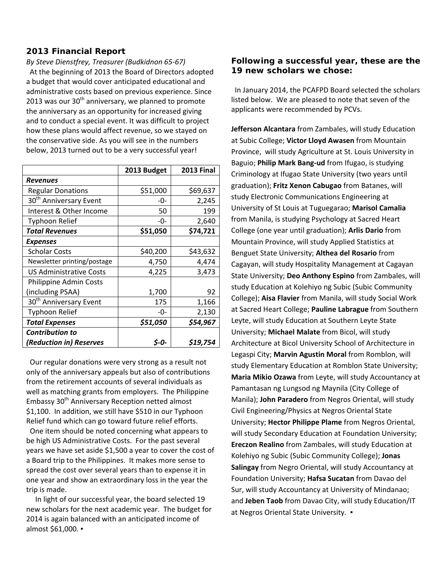### **2013 Financial Report**

*By Steve Dienstfrey, Treasurer (Budkidnon 65-67)*

 At the beginning of 2013 the Board of Directors adopted a budget that would cover anticipated educational and administrative costs based on previous experience. Since 2013 was our  $30<sup>th</sup>$  anniversary, we planned to promote the anniversary as an opportunity for increased giving and to conduct a special event. It was difficult to project how these plans would affect revenue, so we stayed on the conservative side. As you will see in the numbers below, 2013 turned out to be a very successful year!

|                                    | 2013 Budget | <b>2013 Final</b> |
|------------------------------------|-------------|-------------------|
| <b>Revenues</b>                    |             |                   |
| <b>Regular Donations</b>           | \$51,000    | \$69,637          |
| 30 <sup>th</sup> Anniversary Event | -0-         | 2,245             |
| Interest & Other Income            | 50          | 199               |
| <b>Typhoon Relief</b>              | -0-         | 2,640             |
| <b>Total Revenues</b>              | \$51,050    | \$74,721          |
| <b>Expenses</b>                    |             |                   |
| <b>Scholar Costs</b>               | \$40,200    | \$43,632          |
| Newsletter printing/postage        | 4,750       | 4,474             |
| <b>US Administrative Costs</b>     | 4,225       | 3,473             |
| Philippine Admin Costs             |             |                   |
| (including PSAA)                   | 1,700       | 92                |
| 30 <sup>th</sup> Anniversary Event | 175         | 1,166             |
| <b>Typhoon Relief</b>              | -0-         | 2,130             |
| <b>Total Expenses</b>              | \$51,050    | \$54,967          |
| <b>Contribution to</b>             |             |                   |
| (Reduction in) Reserves            | S-O-        | \$19,754          |

 Our regular donations were very strong as a result not only of the anniversary appeals but also of contributions from the retirement accounts of several individuals as well as matching grants from employers. The Philippine Embassy 30<sup>th</sup> Anniversary Reception netted almost \$1,100. In addition, we still have \$510 in our Typhoon Relief fund which can go toward future relief efforts.

 One item should be noted concerning what appears to be high US Administrative Costs. For the past several years we have set aside \$1,500 a year to cover the cost of a Board trip to the Philippines. It makes more sense to spread the cost over several years than to expense it in one year and show an extraordinary loss in the year the trip is made.

 In light of our successful year, the board selected 19 new scholars for the next academic year. The budget for 2014 is again balanced with an anticipated income of almost \$61,000. ▪

### **Following a successful year, these are the 19 new scholars we chose:**

 In January 2014, the PCAFPD Board selected the scholars listed below. We are pleased to note that seven of the applicants were recommended by PCVs.

**Jefferson Alcantara** from Zambales, will study Education at Subic College; **Victor Lloyd Awasen** from Mountain Province, will study Agriculture at St. Louis University in Baguio; **Philip Mark Bang-ud** from Ifugao, is studying Criminology at Ifugao State University (two years until graduation); **Fritz Xenon Cabugao** from Batanes, will study Electronic Communications Engineering at University of St Louis at Tuguegarao; **Marisol Camalia** from Manila, is studying Psychology at Sacred Heart College (one year until graduation); **Arlis Dario** from Mountain Province, will study Applied Statistics at Benguet State University; **Althea del Rosario** from Cagayan, will study Hospitality Management at Cagayan State University; **Deo Anthony Espino** from Zambales, will study Education at Kolehiyo ng Subic (Subic Community College); **Aisa Flavier** from Manila, will study Social Work at Sacred Heart College; **Pauline Labrague** from Southern Leyte, will study Education at Southern Leyte State University; **Michael Malate** from Bicol, will study Architecture at Bicol University School of Architecture in Legaspi City; **Marvin Agustin Moral** from Romblon, will study Elementary Education at Romblon State University; **Maria Mikio Ozawa** from Leyte, will study Accountancy at Pamantasan ng Lungsod ng Maynila (City College of Manila); **John Paradero** from Negros Oriental, will study Civil Engineering/Physics at Negros Oriental State University; **Hector Philippe Plame** from Negros Oriental, will study Secondary Education at Foundation University; **Ereczon Realino** from Zambales, will study Education at Kolehiyo ng Subic (Subic Community College); **Jonas Salingay** from Negro Oriental, will study Accountancy at Foundation University; **Hafsa Sucatan** from Davao del Sur, will study Accountancy at University of Mindanao; and **Jeben Taob** from Davao City, will study Education/IT at Negros Oriental State University. ▪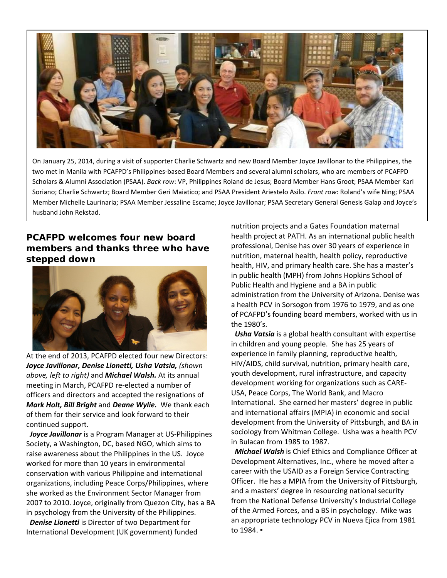

On January 25, 2014, during a visit of supporter Charlie Schwartz and new Board Member Joyce Javillonar to the Philippines, the two met in Manila with PCAFPD's Philippines-based Board Members and several alumni scholars, who are members of PCAFPD Scholars & Alumni Association (PSAA). *Back row*: VP, Philippines Roland de Jesus; Board Member Hans Groot; PSAA Member Karl Soriano; Charlie Schwartz; Board Member Geri Maiatico; and PSAA President Ariestelo Asilo. *Front row*: Roland's wife Ning; PSAA Member Michelle Laurinaria; PSAA Member Jessaline Escame; Joyce Javillonar; PSAA Secretary General Genesis Galap and Joyce's husband John Rekstad.

## **PCAFPD welcomes four new board members and thanks three who have stepped down**



At the end of 2013, PCAFPD elected four new Directors: *Joyce Javillonar, Denise Lionetti, Usha Vatsia, (shown above, left to right)* and *Michael Walsh.* At its annual meeting in March, PCAFPD re-elected a number of officers and directors and accepted the resignations of *Mark Holt, Bill Bright* and *Deane Wylie.* We thank each of them for their service and look forward to their continued support.

 *Joyce Javillonar* is a Program Manager at US-Philippines Society, a Washington, DC, based NGO, which aims to raise awareness about the Philippines in the US. Joyce worked for more than 10 years in environmental conservation with various Philippine and international organizations, including Peace Corps/Philippines, where she worked as the Environment Sector Manager from 2007 to 2010. Joyce, originally from Quezon City, has a BA in psychology from the University of the Philippines.

 *Denise Lionetti* is Director of two Department for International Development (UK government) funded nutrition projects and a Gates Foundation maternal health project at PATH. As an international public health professional, Denise has over 30 years of experience in nutrition, maternal health, health policy, reproductive health, HIV, and primary health care. She has a master's in public health (MPH) from Johns Hopkins School of Public Health and Hygiene and a BA in public administration from the University of Arizona. Denise was a health PCV in Sorsogon from 1976 to 1979, and as one of PCAFPD's founding board members, worked with us in the 1980's.

 *Usha Vatsia* is a global health consultant with expertise in children and young people. She has 25 years of experience in family planning, reproductive health, HIV/AIDS, child survival, nutrition, primary health care, youth development, rural infrastructure, and capacity development working for organizations such as CARE-USA, Peace Corps, The World Bank, and Macro International. She earned her masters' degree in public and international affairs (MPIA) in economic and social development from the University of Pittsburgh, and BA in sociology from Whitman College. Usha was a health PCV in Bulacan from 1985 to 1987.

 *Michael Walsh* is Chief Ethics and Compliance Officer at Development Alternatives, Inc., where he moved after a career with the USAID as a Foreign Service Contracting Officer. He has a MPIA from the University of Pittsburgh, and a masters' degree in resourcing national security from the National Defense University's Industrial College of the Armed Forces, and a BS in psychology. Mike was an appropriate technology PCV in Nueva Ejica from 1981 to 1984. ▪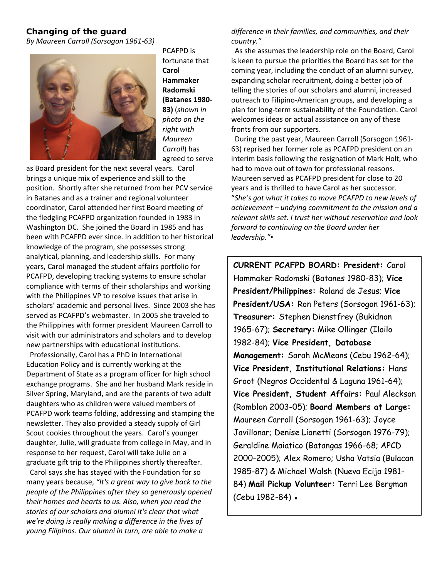### **Changing of the guard**

*By Maureen Carroll (Sorsogon 1961-63)*



PCAFPD is fortunate that **Carol Hammaker Radomski (Batanes 1980- 83)** (*shown in photo on the right with Maureen Carroll*) has agreed to serve

as Board president for the next several years. Carol brings a unique mix of experience and skill to the position. Shortly after she returned from her PCV service in Batanes and as a trainer and regional volunteer coordinator, Carol attended her first Board meeting of the fledgling PCAFPD organization founded in 1983 in Washington DC. She joined the Board in 1985 and has been with PCAFPD ever since. In addition to her historical knowledge of the program, she possesses strong analytical, planning, and leadership skills. For many years, Carol managed the student affairs portfolio for PCAFPD, developing tracking systems to ensure scholar compliance with terms of their scholarships and working with the Philippines VP to resolve issues that arise in scholars' academic and personal lives. Since 2003 she has served as PCAFPD's webmaster. In 2005 she traveled to the Philippines with former president Maureen Carroll to visit with our administrators and scholars and to develop new partnerships with educational institutions.

 Professionally, Carol has a PhD in International Education Policy and is currently working at the Department of State as a program officer for high school exchange programs. She and her husband Mark reside in Silver Spring, Maryland, and are the parents of two adult daughters who as children were valued members of PCAFPD work teams folding, addressing and stamping the newsletter. They also provided a steady supply of Girl Scout cookies throughout the years. Carol's younger daughter, Julie, will graduate from college in May, and in response to her request, Carol will take Julie on a graduate gift trip to the Philippines shortly thereafter.

 Carol says she has stayed with the Foundation for so many years because, *"It's a great way to give back to the people of the Philippines after they so generously opened their homes and hearts to us. Also, when you read the stories of our scholars and alumni it's clear that what we're doing is really making a difference in the lives of young Filipinos. Our alumni in turn, are able to make a* 

### *difference in their families, and communities, and their country."*

 As she assumes the leadership role on the Board, Carol is keen to pursue the priorities the Board has set for the coming year, including the conduct of an alumni survey, expanding scholar recruitment, doing a better job of telling the stories of our scholars and alumni, increased outreach to Filipino-American groups, and developing a plan for long-term sustainability of the Foundation. Carol welcomes ideas or actual assistance on any of these fronts from our supporters.

 During the past year, Maureen Carroll (Sorsogon 1961- 63) reprised her former role as PCAFPD president on an interim basis following the resignation of Mark Holt, who had to move out of town for professional reasons. Maureen served as PCAFPD president for close to 20 years and is thrilled to have Carol as her successor. "*She's got what it takes to move PCAFPD to new levels of achievement – undying commitment to the mission and a relevant skills set. I trust her without reservation and look forward to continuing on the Board under her leadership."▪*

**CURRENT PCAFPD BOARD: President:** Carol Hammaker Radomski (Batanes 1980-83); **Vice President/Philippines:** Roland de Jesus; **Vice President/USA:** Ron Peters (Sorsogon 1961-63); **Treasurer:** Stephen Dienstfrey (Bukidnon 1965-67); **Secretary:** Mike Ollinger (Iloilo 1982-84); **Vice President, Database Management:** Sarah McMeans (Cebu 1962-64); **Vice President, Institutional Relations:** Hans Groot (Negros Occidental & Laguna 1961-64); **Vice President, Student Affairs:** Paul Aleckson (Romblon 2003-05); **Board Members at Large:**  Maureen Carroll (Sorsogon 1961-63); Joyce Javillonar; Denise Lionetti (Sorsogon 1976-79); Geraldine Maiatico (Batangas 1966-68; APCD 2000-2005); Alex Romero; Usha Vatsia (Bulacan 1985-87) & Michael Walsh (Nueva Ecija 1981- 84) **Mail Pickup Volunteer:** Terri Lee Bergman (Cebu 1982-84) ·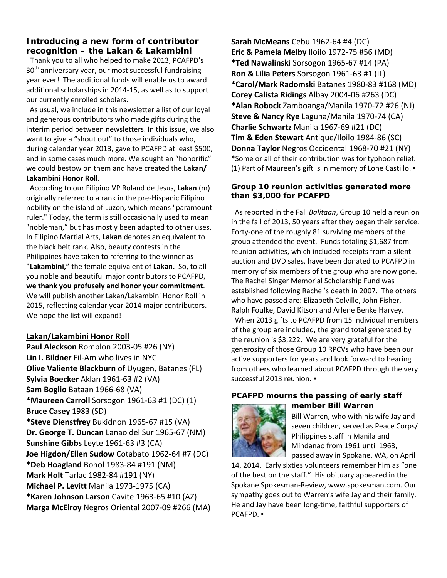### **Introducing a new form of contributor recognition – the Lakan & Lakambini**

 Thank you to all who helped to make 2013, PCAFPD's  $30<sup>th</sup>$  anniversary year, our most successful fundraising year ever! The additional funds will enable us to award additional scholarships in 2014-15, as well as to support our currently enrolled scholars.

 As usual, we include in this newsletter a list of our loyal and generous contributors who made gifts during the interim period between newsletters. In this issue, we also want to give a "shout out" to those individuals who, during calendar year 2013, gave to PCAFPD at least \$500, and in some cases much more. We sought an "honorific" we could bestow on them and have created the **Lakan/ Lakambini Honor Roll.**

 According to our Filipino VP Roland de Jesus, **Lakan** (m) originally referred to a rank in the pre-Hispanic Filipino nobility on the island of Luzon, which means "paramount ruler." Today, the term is still occasionally used to mean "nobleman," but has mostly been adapted to other uses. In Filipino Martial Arts, **Lakan** denotes an equivalent to the black belt rank. Also, beauty contests in the Philippines have taken to referring to the winner as **"Lakambini,"** the female equivalent of **Lakan.** So, to all you noble and beautiful major contributors to PCAFPD, **we thank you profusely and honor your commitment**. We will publish another Lakan/Lakambini Honor Roll in 2015, reflecting calendar year 2014 major contributors. We hope the list will expand!

### **Lakan/Lakambini Honor Roll**

**Paul Aleckson** Romblon 2003-05 #26 (NY) **Lin I. Bildner** Fil-Am who lives in NYC **Olive Valiente Blackburn** of Uyugen, Batanes (FL) **Sylvia Boecker** Aklan 1961-63 #2 (VA) **Sam Boglio** Bataan 1966-68 (VA) **\*Maureen Carroll** Sorsogon 1961-63 #1 (DC) (1) **Bruce Casey** 1983 (SD) **\*Steve Dienstfrey** Bukidnon 1965-67 #15 (VA) **Dr. George T. Duncan** Lanao del Sur 1965-67 (NM) **Sunshine Gibbs** Leyte 1961-63 #3 (CA) **Joe Higdon/Ellen Sudow** Cotabato 1962-64 #7 (DC) **\*Deb Hoagland** Bohol 1983-84 #191 (NM) **Mark Holt** Tarlac 1982-84 #191 (NY) **Michael P. Levitt** Manila 1973-1975 (CA) **\*Karen Johnson Larson** Cavite 1963-65 #10 (AZ) **Marga McElroy** Negros Oriental 2007-09 #266 (MA) **Sarah McMeans** Cebu 1962-64 #4 (DC) **Eric & Pamela Melby** Iloilo 1972-75 #56 (MD) **\*Ted Nawalinski** Sorsogon 1965-67 #14 (PA) **Ron & Lilia Peters** Sorsogon 1961-63 #1 (IL) **\*Carol/Mark Radomski** Batanes 1980-83 #168 (MD) **Corey Calista Ridings** Albay 2004-06 #263 (DC) **\*Alan Robock** Zamboanga/Manila 1970-72 #26 (NJ) **Steve & Nancy Rye** Laguna/Manila 1970-74 (CA) **Charlie Schwartz** Manila 1967-69 #21 (DC) **Tim & Eden Stewart** Antique/Iloilo 1984-86 (SC) **Donna Taylor** Negros Occidental 1968-70 #21 (NY) \*Some or all of their contribution was for typhoon relief. (1) Part of Maureen's gift is in memory of Lone Castillo. ▪

#### **Group 10 reunion activities generated more than \$3,000 for PCAFPD**

As reported in the Fall *Balitaan*, Group 10 held a reunion in the fall of 2013, 50 years after they began their service. Forty-one of the roughly 81 surviving members of the group attended the event. Funds totaling \$1,687 from reunion activities, which included receipts from a silent auction and DVD sales, have been donated to PCAFPD in memory of six members of the group who are now gone. The Rachel Singer Memorial Scholarship Fund was established following Rachel's death in 2007. The others who have passed are: Elizabeth Colville, John Fisher, Ralph Foulke, David Kitson and Arlene Benke Harvey.

 When 2013 gifts to PCAFPD from 15 individual members of the group are included, the grand total generated by the reunion is \$3,222. We are very grateful for the generosity of those Group 10 RPCVs who have been our active supporters for years and look forward to hearing from others who learned about PCAFPD through the very successful 2013 reunion. •

#### **PCAFPD mourns the passing of early staff member Bill Warren**



Bill Warren, who with his wife Jay and seven children, served as Peace Corps/ Philippines staff in Manila and Mindanao from 1961 until 1963, passed away in Spokane, WA, on April

14, 2014. Early sixties volunteers remember him as "one of the best on the staff." His obituary appeared in the Spokane Spokesman-Review[, www.spokesman.com.](http://www.spokesman.com/) Our sympathy goes out to Warren's wife Jay and their family. He and Jay have been long-time, faithful supporters of PCAFPD. ▪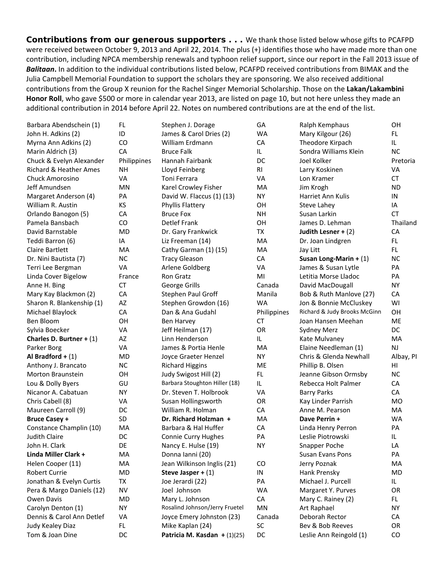**Contributions from our generous supporters** . . . We thank those listed below whose gifts to PCAFPD were received between October 9, 2013 and April 22, 2014. The plus (+) identifies those who have made more than one contribution, including NPCA membership renewals and typhoon relief support, since our report in the Fall 2013 issue of *Balitaan***.** In addition to the individual contributions listed below, PCAFPD received contributions from BIMAK and the Julia Campbell Memorial Foundation to support the scholars they are sponsoring. We also received additional contributions from the Group X reunion for the Rachel Singer Memorial Scholarship. Those on the **Lakan/Lakambini Honor Roll**, who gave \$500 or more in calendar year 2013, are listed on page 10, but not here unless they made an additional contribution in 2014 before April 22. Notes on numbered contributions are at the end of the list.

| Barbara Abendschein (1)           | FL          | Stephen J. Dorage              | GA             | Ralph Kemphaus               | OH        |
|-----------------------------------|-------------|--------------------------------|----------------|------------------------------|-----------|
| John H. Adkins (2)                | ID          | James & Carol Dries (2)        | <b>WA</b>      | Mary Kilgour (26)            | FL.       |
| Myrna Ann Adkins (2)              | CO          | William Erdmann                | CA             | Theodore Kirpach             | IL.       |
| Marin Aldrich (3)                 | CA          | <b>Bruce Falk</b>              | IL.            | Sondra Williams Klein        | <b>NC</b> |
| Chuck & Evelyn Alexander          | Philippines | Hannah Fairbank                | DC             | Joel Kolker                  | Pretoria  |
| <b>Richard &amp; Heather Ames</b> | <b>NH</b>   | Lloyd Feinberg                 | R <sub>l</sub> | Larry Koskinen               | VA        |
| <b>Chuck Amorosino</b>            | VA          | Toni Ferrara                   | VA             | Lon Kramer                   | <b>CT</b> |
| Jeff Amundsen                     | MN          | Karel Crowley Fisher           | MA             | Jim Krogh                    | <b>ND</b> |
| Margaret Anderson (4)             | PA          | David W. Flaccus (1) (13)      | <b>NY</b>      | Harriet Ann Kulis            | IN        |
| William R. Austin                 | KS          | Phyllis Flattery               | OH             | Steve Lahey                  | IA        |
| Orlando Banogon (5)               | CA          | <b>Bruce Fox</b>               | <b>NH</b>      | Susan Larkin                 | <b>CT</b> |
| Pamela Bansbach                   | CO          | <b>Detlef Frank</b>            | OH             | James D. Lehman              | Thailand  |
| David Barnstable                  | MD          | Dr. Gary Frankwick             | TX             | Judith Lesner + $(2)$        | CA        |
| Teddi Barron (6)                  | IA          | Liz Freeman (14)               | MA             | Dr. Joan Lindgren            | FL.       |
| <b>Claire Bartlett</b>            | MA          | Cathy Garman (1) (15)          | MA             | Jay Litt                     | FL.       |
| Dr. Nini Bautista (7)             | <b>NC</b>   | <b>Tracy Gleason</b>           | CA             | Susan Long-Marin + $(1)$     | <b>NC</b> |
| Terri Lee Bergman                 | VA          | Arlene Goldberg                | VA             | James & Susan Lytle          | PA        |
| Linda Cover Bigelow               | France      | Ron Gratz                      | MI             | Letitia Morse Lladoc         | PA        |
| Anne H. Bing                      | <b>CT</b>   | George Grills                  | Canada         | David MacDougall             | <b>NY</b> |
| Mary Kay Blackmon (2)             | CA          | Stephen Paul Groff             | Manila         | Bob & Ruth Manlove (27)      | CA        |
| Sharon R. Blankenship (1)         | AZ          | Stephen Growdon (16)           | <b>WA</b>      | Jon & Bonnie McCluskey       | WI        |
| Michael Blaylock                  | CA          | Dan & Ana Gudahl               | Philippines    | Richard & Judy Brooks McGinn | OН        |
| Ben Bloom                         | OH          | Ben Harvey                     | <b>CT</b>      | Joan Hansen Meehan           | ME        |
| Sylvia Boecker                    | VA          | Jeff Heilman (17)              | OR             | <b>Sydney Merz</b>           | DC        |
| Charles D. Burtner + $(1)$        | AZ          | Linn Henderson                 | IL.            | Kate Mulvaney                | <b>MA</b> |
| Parker Borg                       | VA          | James & Portia Henle           | MA             | Elaine Needleman (1)         | NJ        |
| Al Bradford + $(1)$               | MD          | Joyce Graeter Henzel           | <b>NY</b>      | Chris & Glenda Newhall       | Albay, PI |
| Anthony J. Brancato               | <b>NC</b>   | <b>Richard Higgins</b>         | <b>ME</b>      | Phillip B. Olsen             | HI        |
| Morton Braunstein                 | OH          | Judy Swigost Hill (2)          | FL.            | Jeanne Gibson Ormsby         | <b>NC</b> |
| Lou & Dolly Byers                 | GU          | Barbara Stoughton Hiller (18)  | IL.            | Rebecca Holt Palmer          | CA        |
| Nicanor A. Cabatuan               | <b>NY</b>   | Dr. Steven T. Holbrook         | VA             | <b>Barry Parks</b>           | CA        |
| Chris Cabell (8)                  | VA          | Susan Hollingsworth            | OR             | Kay Linder Parrish           | <b>MO</b> |
| Maureen Carroll (9)               | DC          | William R. Holman              | CA             | Anne M. Pearson              | MA        |
| <b>Bruce Casey +</b>              | <b>SD</b>   | Dr. Richard Holzman +          | MA             | Dave Perrin +                | WA        |
| Constance Champlin (10)           | MA          | Barbara & Hal Huffer           | CA             | Linda Henry Perron           | PA        |
| <b>Judith Claire</b>              | DC          | Connie Curry Hughes            | PA             | Leslie Piotrowski            | IL        |
| John H. Clark                     | DE          | Nancy E. Hulse (19)            | <b>NY</b>      | Snapper Poche                | LA        |
| Linda Miller Clark +              | MA          | Donna Ianni (20)               |                | Susan Evans Pons             | PA        |
| Helen Cooper (11)                 | MA          | Jean Wilkinson Inglis (21)     | CO             | Jerry Poznak                 | MA        |
| Robert Currie                     | MD          | Steve Jasper + $(1)$           | IN             | Hank Prensky                 | MD        |
| Jonathan & Evelyn Curtis          | TX          | Joe Jerardi (22)               | PA             | Michael J. Purcell           | IL.       |
| Pera & Margo Daniels (12)         | <b>NV</b>   | Joel Johnson                   | WA             | Margaret Y. Purves           | OR        |
| Owen Davis                        | <b>MD</b>   | Mary L. Johnson                | ${\sf CA}$     | Mary C. Rainey (2)           | FL        |
| Carolyn Denton (1)                | <b>NY</b>   | Rosalind Johnson/Jerry Fruetel | MN             | Art Raphael                  | <b>NY</b> |
| Dennis & Carol Ann Detlef         | VA          | Joyce Emery Johnston (23)      | Canada         | Deborah Rector               | CA        |
| Judy Kealey Diaz                  | FL.         | Mike Kaplan (24)               | SC             | Bev & Bob Reeves             | OR        |
| Tom & Joan Dine                   | DC          | Patricia M. Kasdan + $(1)(25)$ | DC             | Leslie Ann Reingold (1)      | CO        |